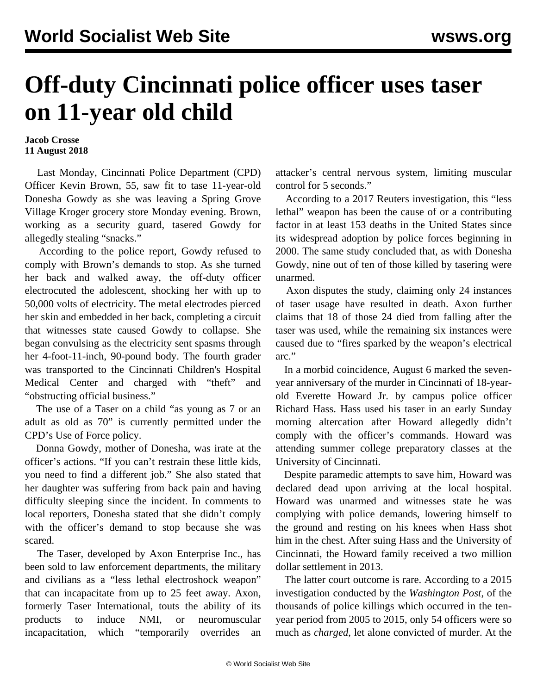## **Off-duty Cincinnati police officer uses taser on 11-year old child**

## **Jacob Crosse 11 August 2018**

 Last Monday, Cincinnati Police Department (CPD) Officer Kevin Brown, 55, saw fit to tase 11-year-old Donesha Gowdy as she was leaving a Spring Grove Village Kroger grocery store Monday evening. Brown, working as a security guard, tasered Gowdy for allegedly stealing "snacks."

 According to the police report, Gowdy refused to comply with Brown's demands to stop. As she turned her back and walked away, the off-duty officer electrocuted the adolescent, shocking her with up to 50,000 volts of electricity. The metal electrodes pierced her skin and embedded in her back, completing a circuit that witnesses state caused Gowdy to collapse. She began convulsing as the electricity sent spasms through her 4-foot-11-inch, 90-pound body. The fourth grader was transported to the Cincinnati Children's Hospital Medical Center and charged with "theft" and "obstructing official business."

 The use of a Taser on a child "as young as 7 or an adult as old as 70" is currently permitted under the CPD's Use of Force policy.

 Donna Gowdy, mother of Donesha, was irate at the officer's actions. "If you can't restrain these little kids, you need to find a different job." She also stated that her daughter was suffering from back pain and having difficulty sleeping since the incident. In comments to local reporters, Donesha stated that she didn't comply with the officer's demand to stop because she was scared.

 The Taser, developed by Axon Enterprise Inc., has been sold to law enforcement departments, the military and civilians as a "less lethal electroshock weapon" that can incapacitate from up to 25 feet away. Axon, formerly Taser International, touts the ability of its products to induce NMI, or neuromuscular incapacitation, which "temporarily overrides an attacker's central nervous system, limiting muscular control for 5 seconds."

 According to a 2017 Reuters investigation, this "less lethal" weapon has been the cause of or a contributing factor in at least 153 deaths in the United States since its widespread adoption by police forces beginning in 2000. The same study concluded that, as with Donesha Gowdy, nine out of ten of those killed by tasering were unarmed.

 Axon disputes the study, claiming only 24 instances of taser usage have resulted in death. Axon further claims that 18 of those 24 died from falling after the taser was used, while the remaining six instances were caused due to "fires sparked by the weapon's electrical arc."

 In a morbid coincidence, August 6 marked the sevenyear anniversary of the murder in Cincinnati of 18-yearold Everette Howard Jr. by campus police officer Richard Hass. Hass used his taser in an early Sunday morning altercation after Howard allegedly didn't comply with the officer's commands. Howard was attending summer college preparatory classes at the University of Cincinnati.

 Despite paramedic attempts to save him, Howard was declared dead upon arriving at the local hospital. Howard was unarmed and witnesses state he was complying with police demands, lowering himself to the ground and resting on his knees when Hass shot him in the chest. After suing Hass and the University of Cincinnati, the Howard family received a two million dollar settlement in 2013.

 The latter court outcome is rare. According to a 2015 investigation conducted by the *Washington Post*, of the thousands of police killings which occurred in the tenyear period from 2005 to 2015, only 54 officers were so much as *charged*, let alone convicted of murder. At the